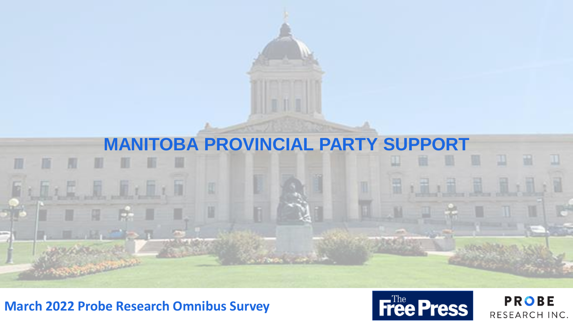

## **March 2022 Probe Research Omnibus Survey**



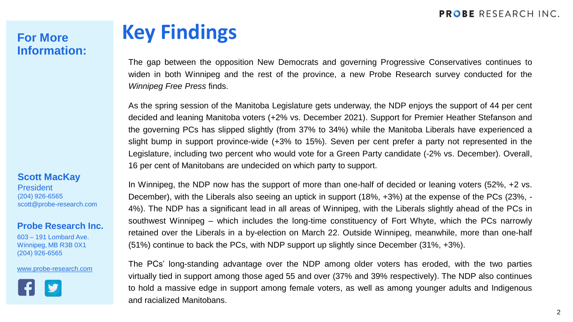#### **PROBE RESEARCH INC.**

# **Information:**

#### **Scott MacKay**

**President** (204) 926-6565 scott@probe-research.com

#### **Probe Research Inc.**

603 – 191 Lombard Ave. Winnipeg, MB R3B 0X1 (204) 926-6565

#### [www.probe-research.com](http://www.probe-research.com/)



# **For More Key Findings**

The gap between the opposition New Democrats and governing Progressive Conservatives continues to widen in both Winnipeg and the rest of the province, a new Probe Research survey conducted for the *Winnipeg Free Press* finds.

As the spring session of the Manitoba Legislature gets underway, the NDP enjoys the support of 44 per cent decided and leaning Manitoba voters (+2% vs. December 2021). Support for Premier Heather Stefanson and the governing PCs has slipped slightly (from 37% to 34%) while the Manitoba Liberals have experienced a slight bump in support province-wide (+3% to 15%). Seven per cent prefer a party not represented in the Legislature, including two percent who would vote for a Green Party candidate (-2% vs. December). Overall, 16 per cent of Manitobans are undecided on which party to support.

In Winnipeg, the NDP now has the support of more than one-half of decided or leaning voters (52%, +2 vs. December), with the Liberals also seeing an uptick in support (18%, +3%) at the expense of the PCs (23%, - 4%). The NDP has a significant lead in all areas of Winnipeg, with the Liberals slightly ahead of the PCs in southwest Winnipeg – which includes the long-time constituency of Fort Whyte, which the PCs narrowly retained over the Liberals in a by-election on March 22. Outside Winnipeg, meanwhile, more than one-half (51%) continue to back the PCs, with NDP support up slightly since December (31%, +3%).

The PCs' long-standing advantage over the NDP among older voters has eroded, with the two parties virtually tied in support among those aged 55 and over (37% and 39% respectively). The NDP also continues to hold a massive edge in support among female voters, as well as among younger adults and Indigenous and racialized Manitobans.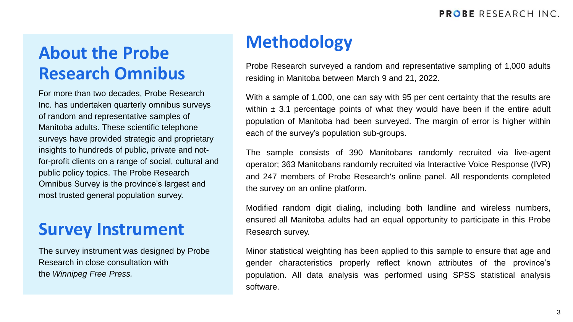# **Methodology About the Probe Research Omnibus**

For more than two decades, Probe Research Inc. has undertaken quarterly omnibus surveys of random and representative samples of Manitoba adults. These scientific telephone surveys have provided strategic and proprietary insights to hundreds of public, private and notfor-profit clients on a range of social, cultural and public policy topics. The Probe Research Omnibus Survey is the province's largest and most trusted general population survey.

## **Survey Instrument**

The survey instrument was designed by Probe Research in close consultation with the *Winnipeg Free Press.*

Probe Research surveyed a random and representative sampling of 1,000 adults residing in Manitoba between March 9 and 21, 2022.

With a sample of 1,000, one can say with 95 per cent certainty that the results are within  $\pm$  3.1 percentage points of what they would have been if the entire adult population of Manitoba had been surveyed. The margin of error is higher within each of the survey's population sub-groups.

The sample consists of 390 Manitobans randomly recruited via live-agent operator; 363 Manitobans randomly recruited via Interactive Voice Response (IVR) and 247 members of Probe Research's online panel. All respondents completed the survey on an online platform.

Modified random digit dialing, including both landline and wireless numbers, ensured all Manitoba adults had an equal opportunity to participate in this Probe Research survey.

Minor statistical weighting has been applied to this sample to ensure that age and gender characteristics properly reflect known attributes of the province's population. All data analysis was performed using SPSS statistical analysis software.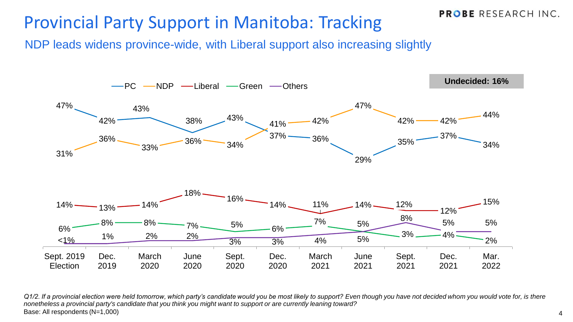## Provincial Party Support in Manitoba: Tracking

NDP leads widens province-wide, with Liberal support also increasing slightly



*Q1/2. If a provincial election were held tomorrow, which party's candidate would you be most likely to support? Even though you have not decided whom you would vote for, is there nonetheless a provincial party's candidate that you think you might want to support or are currently leaning toward?* Base: All respondents (N=1,000)

**PROBE RESEARCH INC.**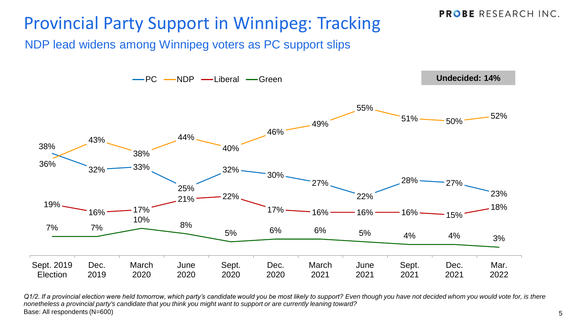## Provincial Party Support in Winnipeg: Tracking

NDP lead widens among Winnipeg voters as PC support slips



*Q1/2. If a provincial election were held tomorrow, which party's candidate would you be most likely to support? Even though you have not decided whom you would vote for, is there nonetheless a provincial party's candidate that you think you might want to support or are currently leaning toward?* Base: All respondents (N=600)

**PROBE RESEARCH INC.**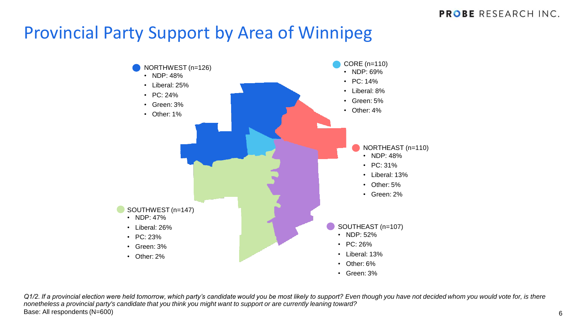## Provincial Party Support by Area of Winnipeg



*Q1/2. If a provincial election were held tomorrow, which party's candidate would you be most likely to support? Even though you have not decided whom you would vote for, is there nonetheless a provincial party's candidate that you think you might want to support or are currently leaning toward?* Base: All respondents (N=600)